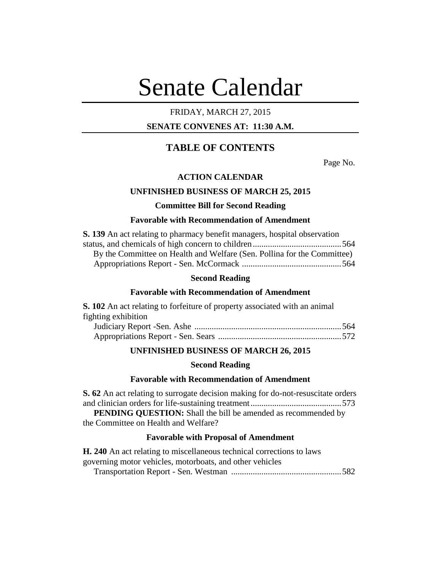# Senate Calendar

# FRIDAY, MARCH 27, 2015

# **SENATE CONVENES AT: 11:30 A.M.**

# **TABLE OF CONTENTS**

Page No.

# **ACTION CALENDAR**

## **UNFINISHED BUSINESS OF MARCH 25, 2015**

# **Committee Bill for Second Reading**

# **Favorable with Recommendation of Amendment**

| S. 139 An act relating to pharmacy benefit managers, hospital observation |  |
|---------------------------------------------------------------------------|--|
|                                                                           |  |
| By the Committee on Health and Welfare (Sen. Pollina for the Committee)   |  |
|                                                                           |  |

## **Second Reading**

#### **Favorable with Recommendation of Amendment**

| <b>S. 102</b> An act relating to forfeiture of property associated with an animal |  |
|-----------------------------------------------------------------------------------|--|
| fighting exhibition                                                               |  |
|                                                                                   |  |
|                                                                                   |  |

# **UNFINISHED BUSINESS OF MARCH 26, 2015**

#### **Second Reading**

#### **Favorable with Recommendation of Amendment**

**S. 62** An act relating to surrogate decision making for do-not-resuscitate orders and clinician orders for life-sustaining treatment..........................................573 **PENDING QUESTION:** Shall the bill be amended as recommended by the Committee on Health and Welfare?

## **Favorable with Proposal of Amendment**

| <b>H. 240</b> An act relating to miscellaneous technical corrections to laws |  |
|------------------------------------------------------------------------------|--|
| governing motor vehicles, motorboats, and other vehicles                     |  |
|                                                                              |  |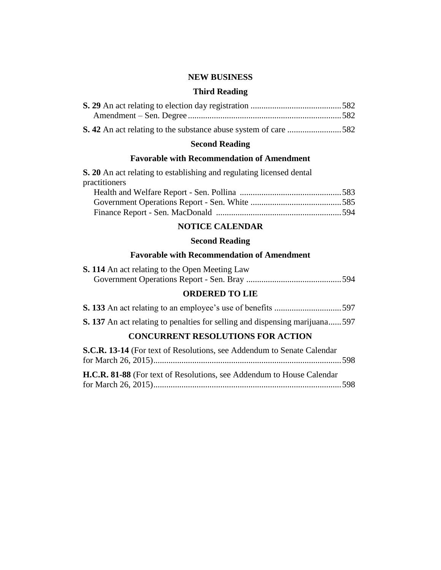# **NEW BUSINESS**

# **Third Reading**

# **Second Reading**

# **Favorable with Recommendation of Amendment**

**S. 20** An act relating to establishing and regulating licensed dental practitioners

# **NOTICE CALENDAR**

# **Second Reading**

# **Favorable with Recommendation of Amendment**

| <b>S. 114</b> An act relating to the Open Meeting Law |  |  |
|-------------------------------------------------------|--|--|
|                                                       |  |  |

# **ORDERED TO LIE**

| <b>S. 137</b> An act relating to penalties for selling and dispensing marijuana 597 |     |
|-------------------------------------------------------------------------------------|-----|
| <b>CONCURRENT RESOLUTIONS FOR ACTION</b>                                            |     |
| <b>S.C.R. 13-14</b> (For text of Resolutions, see Addendum to Senate Calendar       |     |
| $f_{\text{out}}$ M <sub>and</sub> l $\Delta \zeta$ , $\Delta \zeta$                 | ے ص |

| H.C.R. 81-88 (For text of Resolutions, see Addendum to House Calendar |
|-----------------------------------------------------------------------|
|                                                                       |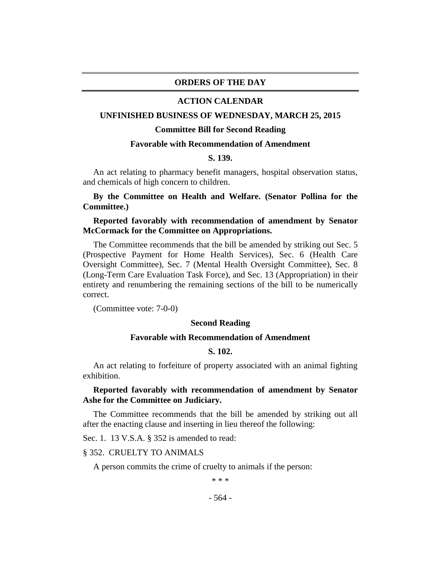# **ORDERS OF THE DAY**

#### **ACTION CALENDAR**

#### **UNFINISHED BUSINESS OF WEDNESDAY, MARCH 25, 2015**

#### **Committee Bill for Second Reading**

#### **Favorable with Recommendation of Amendment**

#### **S. 139.**

An act relating to pharmacy benefit managers, hospital observation status, and chemicals of high concern to children.

## **By the Committee on Health and Welfare. (Senator Pollina for the Committee.)**

## **Reported favorably with recommendation of amendment by Senator McCormack for the Committee on Appropriations.**

The Committee recommends that the bill be amended by striking out Sec. 5 (Prospective Payment for Home Health Services), Sec. 6 (Health Care Oversight Committee), Sec. 7 (Mental Health Oversight Committee), Sec. 8 (Long-Term Care Evaluation Task Force), and Sec. 13 (Appropriation) in their entirety and renumbering the remaining sections of the bill to be numerically correct.

(Committee vote: 7-0-0)

#### **Second Reading**

## **Favorable with Recommendation of Amendment**

## **S. 102.**

An act relating to forfeiture of property associated with an animal fighting exhibition.

# **Reported favorably with recommendation of amendment by Senator Ashe for the Committee on Judiciary.**

The Committee recommends that the bill be amended by striking out all after the enacting clause and inserting in lieu thereof the following:

Sec. 1. 13 V.S.A. § 352 is amended to read:

## § 352. CRUELTY TO ANIMALS

A person commits the crime of cruelty to animals if the person:

\* \* \*

#### - 564 -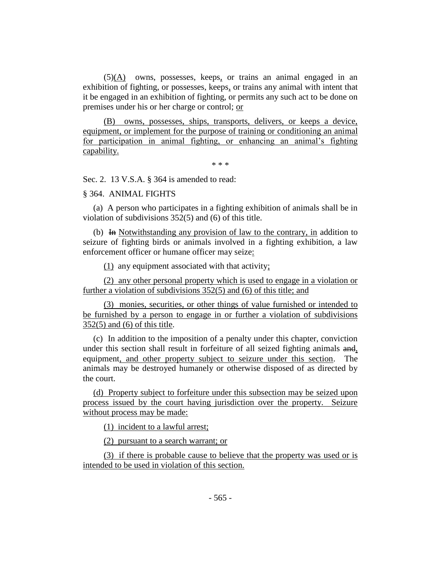(5)(A) owns, possesses, keeps, or trains an animal engaged in an exhibition of fighting, or possesses, keeps, or trains any animal with intent that it be engaged in an exhibition of fighting, or permits any such act to be done on premises under his or her charge or control; or

(B) owns, possesses, ships, transports, delivers, or keeps a device, equipment, or implement for the purpose of training or conditioning an animal for participation in animal fighting, or enhancing an animal's fighting capability.

\* \* \*

Sec. 2. 13 V.S.A. § 364 is amended to read:

§ 364. ANIMAL FIGHTS

(a) A person who participates in a fighting exhibition of animals shall be in violation of subdivisions 352(5) and (6) of this title.

(b) In Notwithstanding any provision of law to the contrary, in addition to seizure of fighting birds or animals involved in a fighting exhibition, a law enforcement officer or humane officer may seize:

(1) any equipment associated with that activity;

(2) any other personal property which is used to engage in a violation or further a violation of subdivisions 352(5) and (6) of this title; and

(3) monies, securities, or other things of value furnished or intended to be furnished by a person to engage in or further a violation of subdivisions 352(5) and (6) of this title.

(c) In addition to the imposition of a penalty under this chapter, conviction under this section shall result in forfeiture of all seized fighting animals and, equipment, and other property subject to seizure under this section. The animals may be destroyed humanely or otherwise disposed of as directed by the court.

(d) Property subject to forfeiture under this subsection may be seized upon process issued by the court having jurisdiction over the property. Seizure without process may be made:

(1) incident to a lawful arrest;

(2) pursuant to a search warrant; or

(3) if there is probable cause to believe that the property was used or is intended to be used in violation of this section.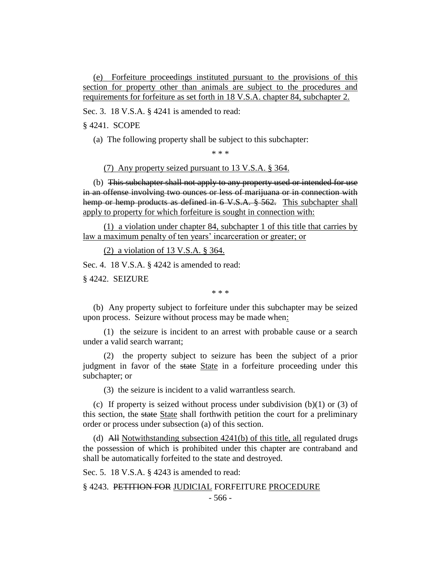(e) Forfeiture proceedings instituted pursuant to the provisions of this section for property other than animals are subject to the procedures and requirements for forfeiture as set forth in 18 V.S.A. chapter 84, subchapter 2.

Sec. 3. 18 V.S.A. § 4241 is amended to read:

§ 4241. SCOPE

(a) The following property shall be subject to this subchapter:

\* \* \*

(7) Any property seized pursuant to 13 V.S.A. § 364.

(b) This subchapter shall not apply to any property used or intended for use in an offense involving two ounces or less of marijuana or in connection with hemp or hemp products as defined in 6 V.S.A. § 562. This subchapter shall apply to property for which forfeiture is sought in connection with:

(1) a violation under chapter 84, subchapter 1 of this title that carries by law a maximum penalty of ten years' incarceration or greater; or

(2) a violation of  $13$  V.S.A.  $\S$  364.

Sec. 4. 18 V.S.A. § 4242 is amended to read:

§ 4242. SEIZURE

\* \* \*

(b) Any property subject to forfeiture under this subchapter may be seized upon process. Seizure without process may be made when:

(1) the seizure is incident to an arrest with probable cause or a search under a valid search warrant;

(2) the property subject to seizure has been the subject of a prior judgment in favor of the state State in a forfeiture proceeding under this subchapter; or

(3) the seizure is incident to a valid warrantless search.

(c) If property is seized without process under subdivision  $(b)(1)$  or  $(3)$  of this section, the state State shall forthwith petition the court for a preliminary order or process under subsection (a) of this section.

(d) All Notwithstanding subsection 4241(b) of this title, all regulated drugs the possession of which is prohibited under this chapter are contraband and shall be automatically forfeited to the state and destroyed.

Sec. 5. 18 V.S.A. § 4243 is amended to read:

§ 4243. PETITION FOR JUDICIAL FORFEITURE PROCEDURE

- 566 -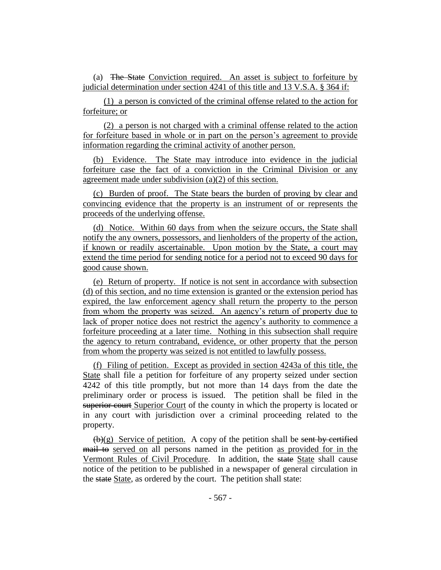(a) The State Conviction required. An asset is subject to forfeiture by judicial determination under section 4241 of this title and 13 V.S.A. § 364 if:

(1) a person is convicted of the criminal offense related to the action for forfeiture; or

(2) a person is not charged with a criminal offense related to the action for forfeiture based in whole or in part on the person's agreement to provide information regarding the criminal activity of another person.

(b) Evidence. The State may introduce into evidence in the judicial forfeiture case the fact of a conviction in the Criminal Division or any agreement made under subdivision (a)(2) of this section.

(c) Burden of proof. The State bears the burden of proving by clear and convincing evidence that the property is an instrument of or represents the proceeds of the underlying offense.

(d) Notice. Within 60 days from when the seizure occurs, the State shall notify the any owners, possessors, and lienholders of the property of the action, if known or readily ascertainable. Upon motion by the State, a court may extend the time period for sending notice for a period not to exceed 90 days for good cause shown.

(e) Return of property. If notice is not sent in accordance with subsection (d) of this section, and no time extension is granted or the extension period has expired, the law enforcement agency shall return the property to the person from whom the property was seized. An agency's return of property due to lack of proper notice does not restrict the agency's authority to commence a forfeiture proceeding at a later time. Nothing in this subsection shall require the agency to return contraband, evidence, or other property that the person from whom the property was seized is not entitled to lawfully possess.

(f) Filing of petition. Except as provided in section 4243a of this title, the State shall file a petition for forfeiture of any property seized under section 4242 of this title promptly, but not more than 14 days from the date the preliminary order or process is issued. The petition shall be filed in the superior court Superior Court of the county in which the property is located or in any court with jurisdiction over a criminal proceeding related to the property.

 $(b)(g)$  Service of petition. A copy of the petition shall be sent by certified mail to served on all persons named in the petition as provided for in the Vermont Rules of Civil Procedure. In addition, the state State shall cause notice of the petition to be published in a newspaper of general circulation in the state State, as ordered by the court. The petition shall state: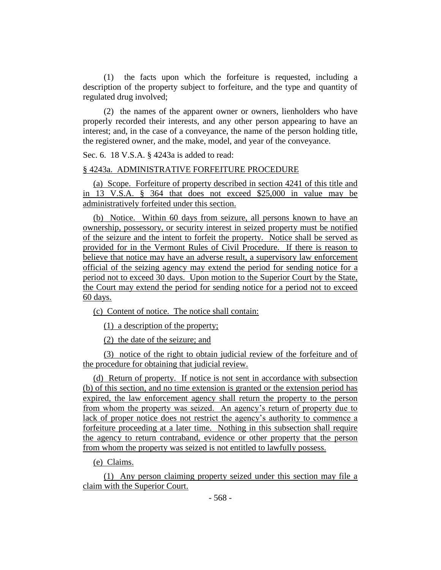(1) the facts upon which the forfeiture is requested, including a description of the property subject to forfeiture, and the type and quantity of regulated drug involved;

(2) the names of the apparent owner or owners, lienholders who have properly recorded their interests, and any other person appearing to have an interest; and, in the case of a conveyance, the name of the person holding title, the registered owner, and the make, model, and year of the conveyance.

Sec. 6. 18 V.S.A. § 4243a is added to read:

#### § 4243a. ADMINISTRATIVE FORFEITURE PROCEDURE

(a) Scope. Forfeiture of property described in section 4241 of this title and in 13 V.S.A. § 364 that does not exceed \$25,000 in value may be administratively forfeited under this section.

(b) Notice. Within 60 days from seizure, all persons known to have an ownership, possessory, or security interest in seized property must be notified of the seizure and the intent to forfeit the property. Notice shall be served as provided for in the Vermont Rules of Civil Procedure. If there is reason to believe that notice may have an adverse result, a supervisory law enforcement official of the seizing agency may extend the period for sending notice for a period not to exceed 30 days. Upon motion to the Superior Court by the State, the Court may extend the period for sending notice for a period not to exceed 60 days.

(c) Content of notice. The notice shall contain:

(1) a description of the property;

(2) the date of the seizure; and

(3) notice of the right to obtain judicial review of the forfeiture and of the procedure for obtaining that judicial review.

(d) Return of property. If notice is not sent in accordance with subsection (b) of this section, and no time extension is granted or the extension period has expired, the law enforcement agency shall return the property to the person from whom the property was seized. An agency's return of property due to lack of proper notice does not restrict the agency's authority to commence a forfeiture proceeding at a later time. Nothing in this subsection shall require the agency to return contraband, evidence or other property that the person from whom the property was seized is not entitled to lawfully possess.

(e) Claims.

(1) Any person claiming property seized under this section may file a claim with the Superior Court.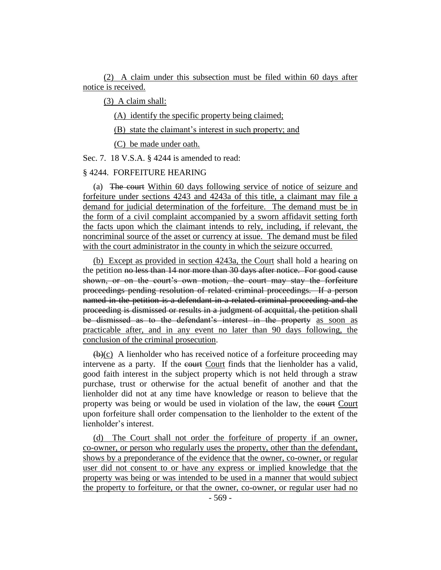(2) A claim under this subsection must be filed within 60 days after notice is received.

(3) A claim shall:

(A) identify the specific property being claimed;

(B) state the claimant's interest in such property; and

(C) be made under oath.

Sec. 7. 18 V.S.A. § 4244 is amended to read:

## § 4244. FORFEITURE HEARING

(a) The court Within 60 days following service of notice of seizure and forfeiture under sections 4243 and 4243a of this title, a claimant may file a demand for judicial determination of the forfeiture. The demand must be in the form of a civil complaint accompanied by a sworn affidavit setting forth the facts upon which the claimant intends to rely, including, if relevant, the noncriminal source of the asset or currency at issue. The demand must be filed with the court administrator in the county in which the seizure occurred.

(b) Except as provided in section 4243a, the Court shall hold a hearing on the petition no less than 14 nor more than 30 days after notice. For good cause shown, or on the court's own motion, the court may stay the forfeiture proceedings pending resolution of related criminal proceedings. If a person named in the petition is a defendant in a related criminal proceeding and the proceeding is dismissed or results in a judgment of acquittal, the petition shall be dismissed as to the defendant's interest in the property as soon as practicable after, and in any event no later than 90 days following, the conclusion of the criminal prosecution.

 $(\theta)(c)$  A lienholder who has received notice of a forfeiture proceeding may intervene as a party. If the court Court finds that the lienholder has a valid, good faith interest in the subject property which is not held through a straw purchase, trust or otherwise for the actual benefit of another and that the lienholder did not at any time have knowledge or reason to believe that the property was being or would be used in violation of the law, the court Court upon forfeiture shall order compensation to the lienholder to the extent of the lienholder's interest.

(d) The Court shall not order the forfeiture of property if an owner, co-owner, or person who regularly uses the property, other than the defendant, shows by a preponderance of the evidence that the owner, co-owner, or regular user did not consent to or have any express or implied knowledge that the property was being or was intended to be used in a manner that would subject the property to forfeiture, or that the owner, co-owner, or regular user had no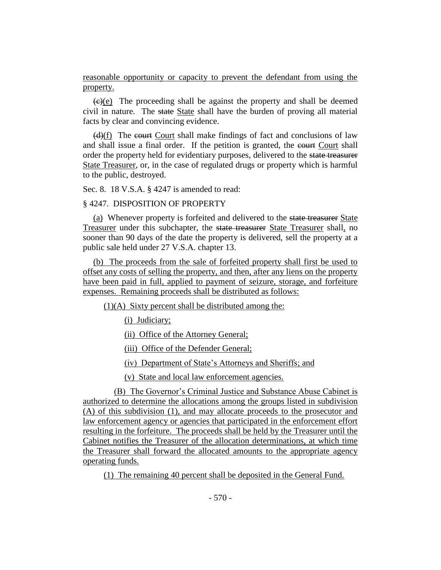reasonable opportunity or capacity to prevent the defendant from using the property.

 $(e)(e)$  The proceeding shall be against the property and shall be deemed civil in nature. The state State shall have the burden of proving all material facts by clear and convincing evidence.

 $(d)(f)$  The court Court shall make findings of fact and conclusions of law and shall issue a final order. If the petition is granted, the court Court shall order the property held for evidentiary purposes, delivered to the state treasurer State Treasurer, or, in the case of regulated drugs or property which is harmful to the public, destroyed.

Sec. 8. 18 V.S.A. § 4247 is amended to read:

## § 4247. DISPOSITION OF PROPERTY

(a) Whenever property is forfeited and delivered to the state treasurer State Treasurer under this subchapter, the state treasurer State Treasurer shall, no sooner than 90 days of the date the property is delivered, sell the property at a public sale held under 27 V.S.A. chapter 13.

(b) The proceeds from the sale of forfeited property shall first be used to offset any costs of selling the property, and then, after any liens on the property have been paid in full, applied to payment of seizure, storage, and forfeiture expenses. Remaining proceeds shall be distributed as follows:

 $(1)(A)$  Sixty percent shall be distributed among the:

(i) Judiciary;

(ii) Office of the Attorney General;

(iii) Office of the Defender General;

(iv) Department of State's Attorneys and Sheriffs; and

(v) State and local law enforcement agencies.

(B) The Governor's Criminal Justice and Substance Abuse Cabinet is authorized to determine the allocations among the groups listed in subdivision (A) of this subdivision (1), and may allocate proceeds to the prosecutor and law enforcement agency or agencies that participated in the enforcement effort resulting in the forfeiture. The proceeds shall be held by the Treasurer until the Cabinet notifies the Treasurer of the allocation determinations, at which time the Treasurer shall forward the allocated amounts to the appropriate agency operating funds.

(1) The remaining 40 percent shall be deposited in the General Fund.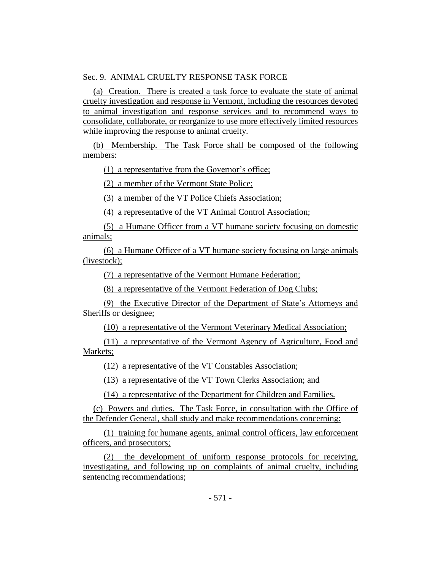# Sec. 9. ANIMAL CRUELTY RESPONSE TASK FORCE

(a) Creation. There is created a task force to evaluate the state of animal cruelty investigation and response in Vermont, including the resources devoted to animal investigation and response services and to recommend ways to consolidate, collaborate, or reorganize to use more effectively limited resources while improving the response to animal cruelty.

(b) Membership. The Task Force shall be composed of the following members:

(1) a representative from the Governor's office;

(2) a member of the Vermont State Police;

(3) a member of the VT Police Chiefs Association;

(4) a representative of the VT Animal Control Association;

(5) a Humane Officer from a VT humane society focusing on domestic animals;

(6) a Humane Officer of a VT humane society focusing on large animals (livestock);

(7) a representative of the Vermont Humane Federation;

(8) a representative of the Vermont Federation of Dog Clubs;

(9) the Executive Director of the Department of State's Attorneys and Sheriffs or designee;

(10) a representative of the Vermont Veterinary Medical Association;

(11) a representative of the Vermont Agency of Agriculture, Food and Markets;

(12) a representative of the VT Constables Association;

(13) a representative of the VT Town Clerks Association; and

(14) a representative of the Department for Children and Families.

(c) Powers and duties. The Task Force, in consultation with the Office of the Defender General, shall study and make recommendations concerning:

(1) training for humane agents, animal control officers, law enforcement officers, and prosecutors;

(2) the development of uniform response protocols for receiving, investigating, and following up on complaints of animal cruelty, including sentencing recommendations;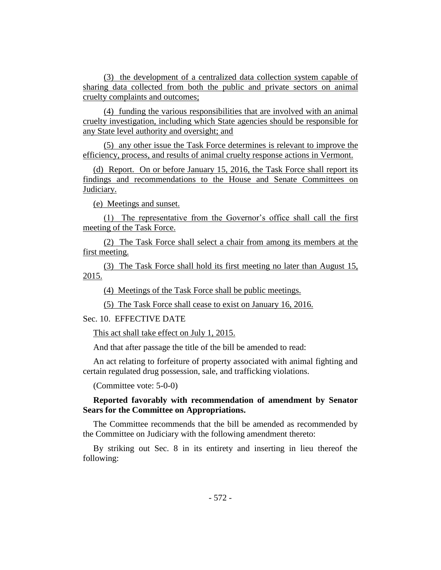(3) the development of a centralized data collection system capable of sharing data collected from both the public and private sectors on animal cruelty complaints and outcomes;

(4) funding the various responsibilities that are involved with an animal cruelty investigation, including which State agencies should be responsible for any State level authority and oversight; and

(5) any other issue the Task Force determines is relevant to improve the efficiency, process, and results of animal cruelty response actions in Vermont.

(d) Report. On or before January 15, 2016, the Task Force shall report its findings and recommendations to the House and Senate Committees on Judiciary.

(e) Meetings and sunset.

(1) The representative from the Governor's office shall call the first meeting of the Task Force.

(2) The Task Force shall select a chair from among its members at the first meeting.

(3) The Task Force shall hold its first meeting no later than August 15, 2015.

(4) Meetings of the Task Force shall be public meetings.

(5) The Task Force shall cease to exist on January 16, 2016.

Sec. 10. EFFECTIVE DATE

This act shall take effect on July 1, 2015.

And that after passage the title of the bill be amended to read:

An act relating to forfeiture of property associated with animal fighting and certain regulated drug possession, sale, and trafficking violations.

(Committee vote: 5-0-0)

**Reported favorably with recommendation of amendment by Senator Sears for the Committee on Appropriations.**

The Committee recommends that the bill be amended as recommended by the Committee on Judiciary with the following amendment thereto:

By striking out Sec. 8 in its entirety and inserting in lieu thereof the following: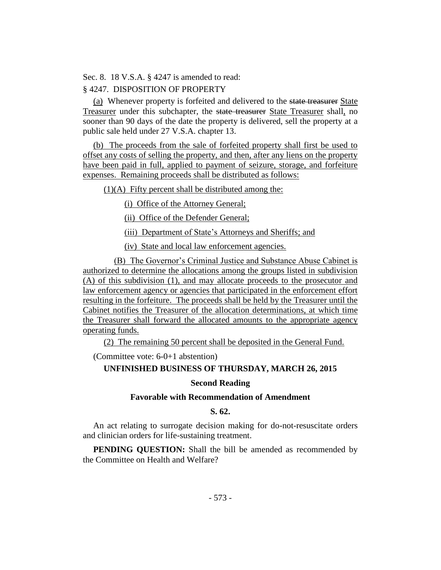Sec. 8. 18 V.S.A. § 4247 is amended to read:

# § 4247. DISPOSITION OF PROPERTY

(a) Whenever property is forfeited and delivered to the state treasurer State Treasurer under this subchapter, the state treasurer State Treasurer shall, no sooner than 90 days of the date the property is delivered, sell the property at a public sale held under 27 V.S.A. chapter 13.

(b) The proceeds from the sale of forfeited property shall first be used to offset any costs of selling the property, and then, after any liens on the property have been paid in full, applied to payment of seizure, storage, and forfeiture expenses. Remaining proceeds shall be distributed as follows:

 $(1)(A)$  Fifty percent shall be distributed among the:

(i) Office of the Attorney General;

(ii) Office of the Defender General;

(iii) Department of State's Attorneys and Sheriffs; and

(iv) State and local law enforcement agencies.

(B) The Governor's Criminal Justice and Substance Abuse Cabinet is authorized to determine the allocations among the groups listed in subdivision (A) of this subdivision (1), and may allocate proceeds to the prosecutor and law enforcement agency or agencies that participated in the enforcement effort resulting in the forfeiture. The proceeds shall be held by the Treasurer until the Cabinet notifies the Treasurer of the allocation determinations, at which time the Treasurer shall forward the allocated amounts to the appropriate agency operating funds.

(2) The remaining 50 percent shall be deposited in the General Fund.

(Committee vote: 6-0+1 abstention)

# **UNFINISHED BUSINESS OF THURSDAY, MARCH 26, 2015**

#### **Second Reading**

# **Favorable with Recommendation of Amendment**

### **S. 62.**

An act relating to surrogate decision making for do-not-resuscitate orders and clinician orders for life-sustaining treatment.

**PENDING QUESTION:** Shall the bill be amended as recommended by the Committee on Health and Welfare?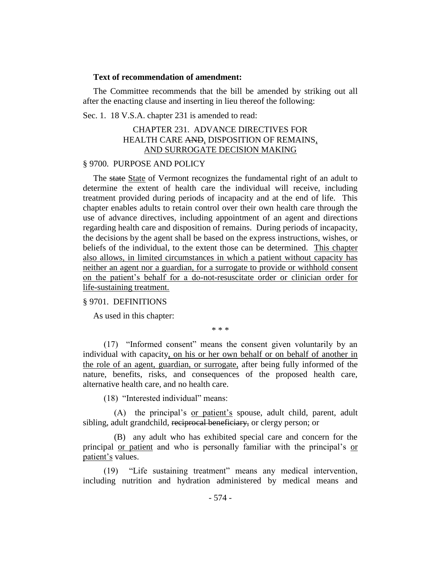#### **Text of recommendation of amendment:**

The Committee recommends that the bill be amended by striking out all after the enacting clause and inserting in lieu thereof the following:

Sec. 1. 18 V.S.A. chapter 231 is amended to read:

# CHAPTER 231. ADVANCE DIRECTIVES FOR HEALTH CARE AND, DISPOSITION OF REMAINS, AND SURROGATE DECISION MAKING

## § 9700. PURPOSE AND POLICY

The state State of Vermont recognizes the fundamental right of an adult to determine the extent of health care the individual will receive, including treatment provided during periods of incapacity and at the end of life. This chapter enables adults to retain control over their own health care through the use of advance directives, including appointment of an agent and directions regarding health care and disposition of remains. During periods of incapacity, the decisions by the agent shall be based on the express instructions, wishes, or beliefs of the individual, to the extent those can be determined. This chapter also allows, in limited circumstances in which a patient without capacity has neither an agent nor a guardian, for a surrogate to provide or withhold consent on the patient's behalf for a do-not-resuscitate order or clinician order for life-sustaining treatment.

# § 9701. DEFINITIONS

As used in this chapter:

\* \* \*

(17) "Informed consent" means the consent given voluntarily by an individual with capacity, on his or her own behalf or on behalf of another in the role of an agent, guardian, or surrogate, after being fully informed of the nature, benefits, risks, and consequences of the proposed health care, alternative health care, and no health care.

(18) "Interested individual" means:

(A) the principal's or patient's spouse, adult child, parent, adult sibling, adult grandchild, reciprocal beneficiary, or clergy person; or

(B) any adult who has exhibited special care and concern for the principal <u>or patient</u> and who is personally familiar with the principal's <u>or</u> patient's values.

(19) "Life sustaining treatment" means any medical intervention, including nutrition and hydration administered by medical means and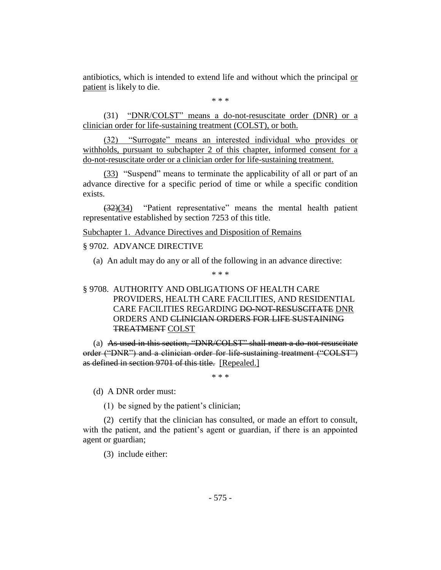antibiotics, which is intended to extend life and without which the principal or patient is likely to die.

\* \* \*

(31) "DNR/COLST" means a do-not-resuscitate order (DNR) or a clinician order for life-sustaining treatment (COLST), or both.

(32) "Surrogate" means an interested individual who provides or withholds, pursuant to subchapter 2 of this chapter, informed consent for a do-not-resuscitate order or a clinician order for life-sustaining treatment.

(33) "Suspend" means to terminate the applicability of all or part of an advance directive for a specific period of time or while a specific condition exists.

(32)(34) "Patient representative" means the mental health patient representative established by section 7253 of this title.

Subchapter 1. Advance Directives and Disposition of Remains

§ 9702. ADVANCE DIRECTIVE

(a) An adult may do any or all of the following in an advance directive:

\* \* \*

# § 9708. AUTHORITY AND OBLIGATIONS OF HEALTH CARE PROVIDERS, HEALTH CARE FACILITIES, AND RESIDENTIAL CARE FACILITIES REGARDING DO-NOT-RESUSCITATE DNR ORDERS AND CLINICIAN ORDERS FOR LIFE SUSTAINING TREATMENT COLST

(a) As used in this section, "DNR/COLST" shall mean a do-not-resuscitate order ("DNR") and a clinician order for life-sustaining treatment ("COLST") as defined in section 9701 of this title. [Repealed.]

\* \* \*

(d) A DNR order must:

(1) be signed by the patient's clinician;

(2) certify that the clinician has consulted, or made an effort to consult, with the patient, and the patient's agent or guardian, if there is an appointed agent or guardian;

(3) include either: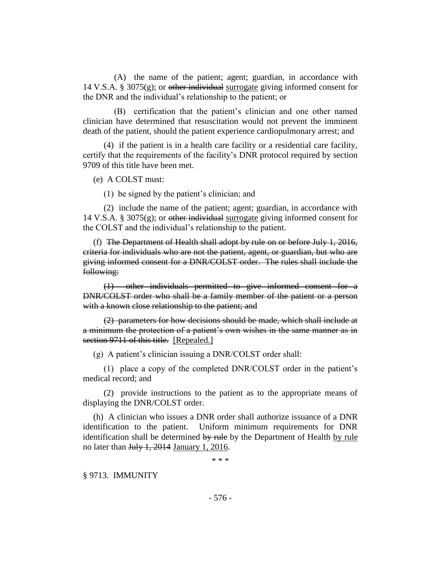(A) the name of the patient; agent; guardian, in accordance with 14 V.S.A. § 3075 $(g)$ ; or other individual surrogate giving informed consent for the DNR and the individual's relationship to the patient; or

(B) certification that the patient's clinician and one other named clinician have determined that resuscitation would not prevent the imminent death of the patient, should the patient experience cardiopulmonary arrest; and

(4) if the patient is in a health care facility or a residential care facility, certify that the requirements of the facility's DNR protocol required by section 9709 of this title have been met.

(e) A COLST must:

(1) be signed by the patient's clinician; and

(2) include the name of the patient; agent; guardian, in accordance with 14 V.S.A. § 3075 $(g)$ ; or other individual surrogate giving informed consent for the COLST and the individual's relationship to the patient.

(f) The Department of Health shall adopt by rule on or before July 1, 2016, criteria for individuals who are not the patient, agent, or guardian, but who are giving informed consent for a DNR/COLST order. The rules shall include the following:

(1) other individuals permitted to give informed consent for a DNR/COLST order who shall be a family member of the patient or a person with a known close relationship to the patient; and

(2) parameters for how decisions should be made, which shall include at a minimum the protection of a patient's own wishes in the same manner as in section 9711 of this title. [Repealed.]

(g) A patient's clinician issuing a DNR/COLST order shall:

(1) place a copy of the completed DNR/COLST order in the patient's medical record; and

(2) provide instructions to the patient as to the appropriate means of displaying the DNR/COLST order.

(h) A clinician who issues a DNR order shall authorize issuance of a DNR identification to the patient. Uniform minimum requirements for DNR identification shall be determined by rule by the Department of Health by rule no later than July 1, 2014 January 1, 2016.

\* \* \*

§ 9713. IMMUNITY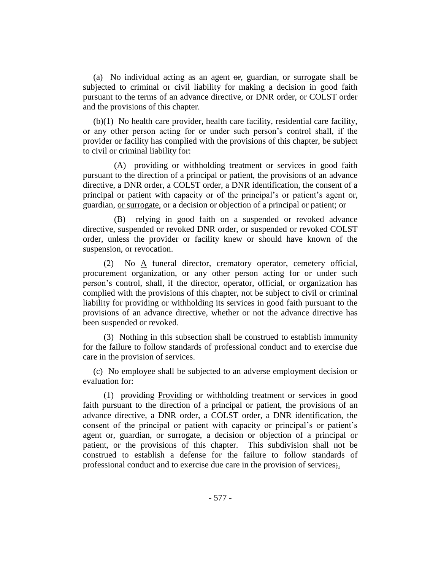(a) No individual acting as an agent  $\Theta$ , guardian, or surrogate shall be subjected to criminal or civil liability for making a decision in good faith pursuant to the terms of an advance directive, or DNR order, or COLST order and the provisions of this chapter.

(b)(1) No health care provider, health care facility, residential care facility, or any other person acting for or under such person's control shall, if the provider or facility has complied with the provisions of this chapter, be subject to civil or criminal liability for:

(A) providing or withholding treatment or services in good faith pursuant to the direction of a principal or patient, the provisions of an advance directive, a DNR order, a COLST order, a DNR identification, the consent of a principal or patient with capacity or of the principal's or patient's agent or, guardian, or surrogate, or a decision or objection of a principal or patient; or

(B) relying in good faith on a suspended or revoked advance directive, suspended or revoked DNR order, or suspended or revoked COLST order, unless the provider or facility knew or should have known of the suspension, or revocation.

 $(2)$  No A funeral director, crematory operator, cemetery official, procurement organization, or any other person acting for or under such person's control, shall, if the director, operator, official, or organization has complied with the provisions of this chapter, not be subject to civil or criminal liability for providing or withholding its services in good faith pursuant to the provisions of an advance directive, whether or not the advance directive has been suspended or revoked.

(3) Nothing in this subsection shall be construed to establish immunity for the failure to follow standards of professional conduct and to exercise due care in the provision of services.

(c) No employee shall be subjected to an adverse employment decision or evaluation for:

(1) providing Providing or withholding treatment or services in good faith pursuant to the direction of a principal or patient, the provisions of an advance directive, a DNR order, a COLST order, a DNR identification, the consent of the principal or patient with capacity or principal's or patient's agent or, guardian, or surrogate, a decision or objection of a principal or patient, or the provisions of this chapter. This subdivision shall not be construed to establish a defense for the failure to follow standards of professional conduct and to exercise due care in the provision of services;.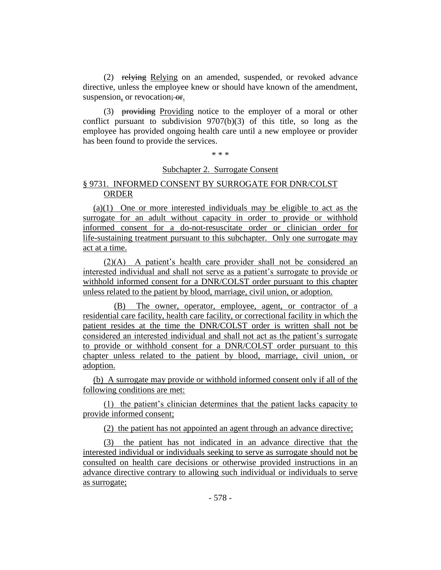(2) relying Relying on an amended, suspended, or revoked advance directive, unless the employee knew or should have known of the amendment, suspension, or revocation; or.

(3) providing Providing notice to the employer of a moral or other conflict pursuant to subdivision 9707(b)(3) of this title, so long as the employee has provided ongoing health care until a new employee or provider has been found to provide the services.

\* \* \*

#### Subchapter 2. Surrogate Consent

# § 9731. INFORMED CONSENT BY SURROGATE FOR DNR/COLST ORDER

(a)(1) One or more interested individuals may be eligible to act as the surrogate for an adult without capacity in order to provide or withhold informed consent for a do-not-resuscitate order or clinician order for life-sustaining treatment pursuant to this subchapter. Only one surrogate may act at a time.

(2)(A) A patient's health care provider shall not be considered an interested individual and shall not serve as a patient's surrogate to provide or withhold informed consent for a DNR/COLST order pursuant to this chapter unless related to the patient by blood, marriage, civil union, or adoption.

(B) The owner, operator, employee, agent, or contractor of a residential care facility, health care facility, or correctional facility in which the patient resides at the time the DNR/COLST order is written shall not be considered an interested individual and shall not act as the patient's surrogate to provide or withhold consent for a DNR/COLST order pursuant to this chapter unless related to the patient by blood, marriage, civil union, or adoption.

(b) A surrogate may provide or withhold informed consent only if all of the following conditions are met:

(1) the patient's clinician determines that the patient lacks capacity to provide informed consent;

(2) the patient has not appointed an agent through an advance directive;

(3) the patient has not indicated in an advance directive that the interested individual or individuals seeking to serve as surrogate should not be consulted on health care decisions or otherwise provided instructions in an advance directive contrary to allowing such individual or individuals to serve as surrogate;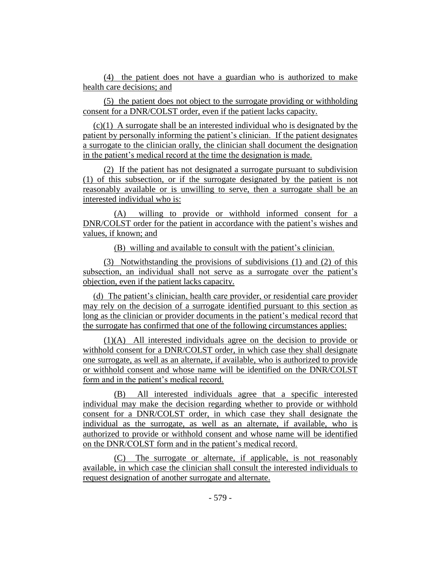(4) the patient does not have a guardian who is authorized to make health care decisions; and

(5) the patient does not object to the surrogate providing or withholding consent for a DNR/COLST order, even if the patient lacks capacity.

(c)(1) A surrogate shall be an interested individual who is designated by the patient by personally informing the patient's clinician. If the patient designates a surrogate to the clinician orally, the clinician shall document the designation in the patient's medical record at the time the designation is made.

(2) If the patient has not designated a surrogate pursuant to subdivision (1) of this subsection, or if the surrogate designated by the patient is not reasonably available or is unwilling to serve, then a surrogate shall be an interested individual who is:

(A) willing to provide or withhold informed consent for a DNR/COLST order for the patient in accordance with the patient's wishes and values, if known; and

(B) willing and available to consult with the patient's clinician.

(3) Notwithstanding the provisions of subdivisions (1) and (2) of this subsection, an individual shall not serve as a surrogate over the patient's objection, even if the patient lacks capacity.

(d) The patient's clinician, health care provider, or residential care provider may rely on the decision of a surrogate identified pursuant to this section as long as the clinician or provider documents in the patient's medical record that the surrogate has confirmed that one of the following circumstances applies:

(1)(A) All interested individuals agree on the decision to provide or withhold consent for a DNR/COLST order, in which case they shall designate one surrogate, as well as an alternate, if available, who is authorized to provide or withhold consent and whose name will be identified on the DNR/COLST form and in the patient's medical record.

(B) All interested individuals agree that a specific interested individual may make the decision regarding whether to provide or withhold consent for a DNR/COLST order, in which case they shall designate the individual as the surrogate, as well as an alternate, if available, who is authorized to provide or withhold consent and whose name will be identified on the DNR/COLST form and in the patient's medical record.

(C) The surrogate or alternate, if applicable, is not reasonably available, in which case the clinician shall consult the interested individuals to request designation of another surrogate and alternate.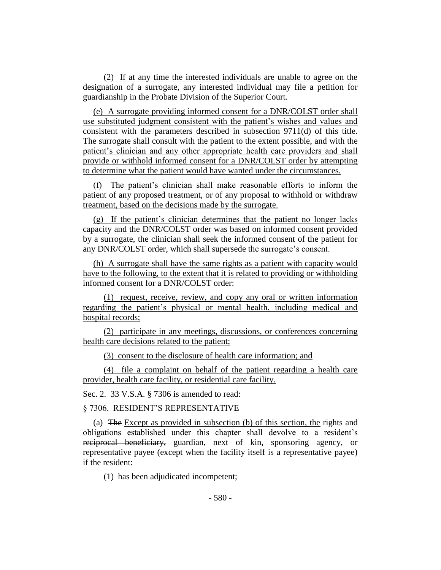(2) If at any time the interested individuals are unable to agree on the designation of a surrogate, any interested individual may file a petition for guardianship in the Probate Division of the Superior Court.

(e) A surrogate providing informed consent for a DNR/COLST order shall use substituted judgment consistent with the patient's wishes and values and consistent with the parameters described in subsection 9711(d) of this title. The surrogate shall consult with the patient to the extent possible, and with the patient's clinician and any other appropriate health care providers and shall provide or withhold informed consent for a DNR/COLST order by attempting to determine what the patient would have wanted under the circumstances.

(f) The patient's clinician shall make reasonable efforts to inform the patient of any proposed treatment, or of any proposal to withhold or withdraw treatment, based on the decisions made by the surrogate.

(g) If the patient's clinician determines that the patient no longer lacks capacity and the DNR/COLST order was based on informed consent provided by a surrogate, the clinician shall seek the informed consent of the patient for any DNR/COLST order, which shall supersede the surrogate's consent.

(h) A surrogate shall have the same rights as a patient with capacity would have to the following, to the extent that it is related to providing or withholding informed consent for a DNR/COLST order:

(1) request, receive, review, and copy any oral or written information regarding the patient's physical or mental health, including medical and hospital records;

(2) participate in any meetings, discussions, or conferences concerning health care decisions related to the patient;

(3) consent to the disclosure of health care information; and

(4) file a complaint on behalf of the patient regarding a health care provider, health care facility, or residential care facility.

Sec. 2. 33 V.S.A. § 7306 is amended to read:

§ 7306. RESIDENT'S REPRESENTATIVE

(a) The Except as provided in subsection (b) of this section, the rights and obligations established under this chapter shall devolve to a resident's reciprocal beneficiary, guardian, next of kin, sponsoring agency, or representative payee (except when the facility itself is a representative payee) if the resident:

(1) has been adjudicated incompetent;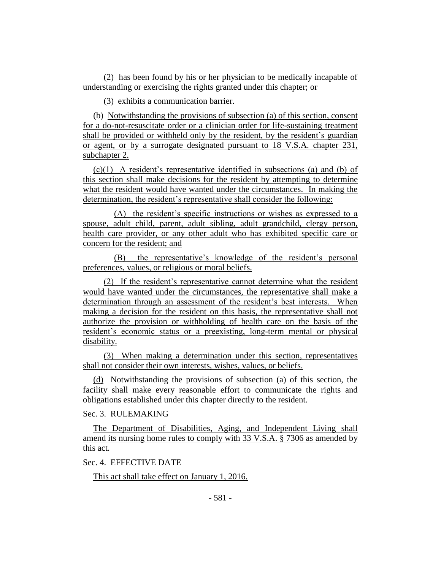(2) has been found by his or her physician to be medically incapable of understanding or exercising the rights granted under this chapter; or

(3) exhibits a communication barrier.

(b) Notwithstanding the provisions of subsection (a) of this section, consent for a do-not-resuscitate order or a clinician order for life-sustaining treatment shall be provided or withheld only by the resident, by the resident's guardian or agent, or by a surrogate designated pursuant to 18 V.S.A. chapter 231, subchapter 2.

(c)(1) A resident's representative identified in subsections (a) and (b) of this section shall make decisions for the resident by attempting to determine what the resident would have wanted under the circumstances. In making the determination, the resident's representative shall consider the following:

(A) the resident's specific instructions or wishes as expressed to a spouse, adult child, parent, adult sibling, adult grandchild, clergy person, health care provider, or any other adult who has exhibited specific care or concern for the resident; and

(B) the representative's knowledge of the resident's personal preferences, values, or religious or moral beliefs.

(2) If the resident's representative cannot determine what the resident would have wanted under the circumstances, the representative shall make a determination through an assessment of the resident's best interests. When making a decision for the resident on this basis, the representative shall not authorize the provision or withholding of health care on the basis of the resident's economic status or a preexisting, long-term mental or physical disability.

(3) When making a determination under this section, representatives shall not consider their own interests, wishes, values, or beliefs.

(d) Notwithstanding the provisions of subsection (a) of this section, the facility shall make every reasonable effort to communicate the rights and obligations established under this chapter directly to the resident.

Sec. 3. RULEMAKING

The Department of Disabilities, Aging, and Independent Living shall amend its nursing home rules to comply with 33 V.S.A. § 7306 as amended by this act.

Sec. 4. EFFECTIVE DATE

This act shall take effect on January 1, 2016.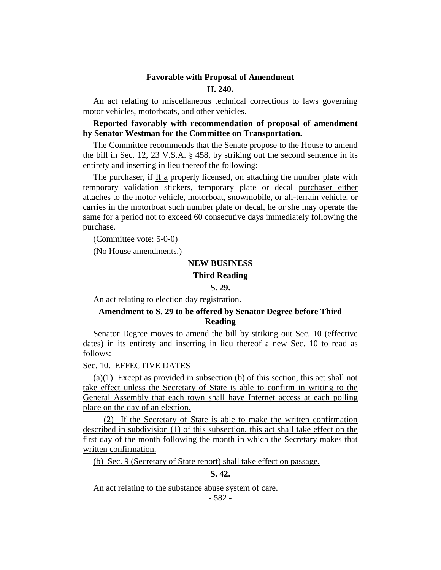# **Favorable with Proposal of Amendment H. 240.**

An act relating to miscellaneous technical corrections to laws governing motor vehicles, motorboats, and other vehicles.

**Reported favorably with recommendation of proposal of amendment by Senator Westman for the Committee on Transportation.**

The Committee recommends that the Senate propose to the House to amend the bill in Sec. 12, 23 V.S.A. § 458, by striking out the second sentence in its entirety and inserting in lieu thereof the following:

The purchaser, if If a properly licensed, on attaching the number plate with temporary validation stickers, temporary plate or decal purchaser either attaches to the motor vehicle, motorboat, snowmobile, or all-terrain vehicle, or carries in the motorboat such number plate or decal, he or she may operate the same for a period not to exceed 60 consecutive days immediately following the purchase.

(Committee vote: 5-0-0)

(No House amendments.)

#### **NEW BUSINESS**

#### **Third Reading**

#### **S. 29.**

An act relating to election day registration.

# **Amendment to S. 29 to be offered by Senator Degree before Third Reading**

Senator Degree moves to amend the bill by striking out Sec. 10 (effective dates) in its entirety and inserting in lieu thereof a new Sec. 10 to read as follows:

#### Sec. 10. EFFECTIVE DATES

(a)(1) Except as provided in subsection (b) of this section, this act shall not take effect unless the Secretary of State is able to confirm in writing to the General Assembly that each town shall have Internet access at each polling place on the day of an election.

(2) If the Secretary of State is able to make the written confirmation described in subdivision (1) of this subsection, this act shall take effect on the first day of the month following the month in which the Secretary makes that written confirmation.

(b) Sec. 9 (Secretary of State report) shall take effect on passage.

#### **S. 42.**

An act relating to the substance abuse system of care.

- 582 -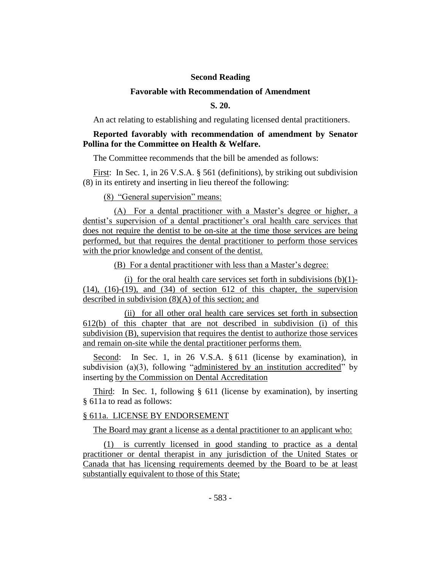# **Second Reading**

#### **Favorable with Recommendation of Amendment**

# **S. 20.**

An act relating to establishing and regulating licensed dental practitioners.

# **Reported favorably with recommendation of amendment by Senator Pollina for the Committee on Health & Welfare.**

The Committee recommends that the bill be amended as follows:

First: In Sec. 1, in 26 V.S.A. § 561 (definitions), by striking out subdivision (8) in its entirety and inserting in lieu thereof the following:

(8) "General supervision" means:

(A) For a dental practitioner with a Master's degree or higher, a dentist's supervision of a dental practitioner's oral health care services that does not require the dentist to be on-site at the time those services are being performed, but that requires the dental practitioner to perform those services with the prior knowledge and consent of the dentist.

(B) For a dental practitioner with less than a Master's degree:

(i) for the oral health care services set forth in subdivisions  $(b)(1)$ - $(14)$ ,  $(16)-(19)$ , and  $(34)$  of section 612 of this chapter, the supervision described in subdivision (8)(A) of this section; and

(ii) for all other oral health care services set forth in subsection 612(b) of this chapter that are not described in subdivision (i) of this subdivision (B), supervision that requires the dentist to authorize those services and remain on-site while the dental practitioner performs them.

Second: In Sec. 1, in 26 V.S.A. § 611 (license by examination), in subdivision (a)(3), following "administered by an institution accredited" by inserting by the Commission on Dental Accreditation

Third: In Sec. 1, following § 611 (license by examination), by inserting § 611a to read as follows:

#### § 611a. LICENSE BY ENDORSEMENT

The Board may grant a license as a dental practitioner to an applicant who:

(1) is currently licensed in good standing to practice as a dental practitioner or dental therapist in any jurisdiction of the United States or Canada that has licensing requirements deemed by the Board to be at least substantially equivalent to those of this State;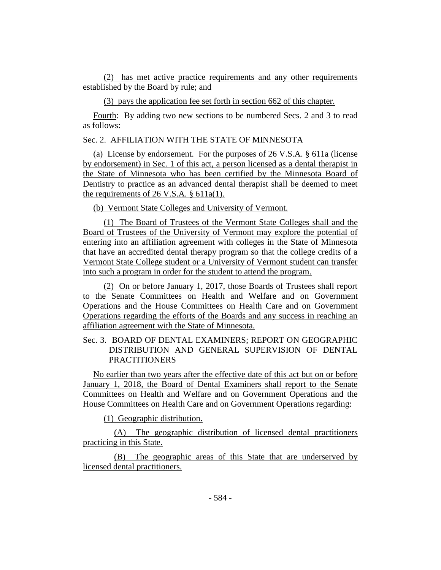(2) has met active practice requirements and any other requirements established by the Board by rule; and

(3) pays the application fee set forth in section 662 of this chapter.

Fourth: By adding two new sections to be numbered Secs. 2 and 3 to read as follows:

# Sec. 2. AFFILIATION WITH THE STATE OF MINNESOTA

(a) License by endorsement. For the purposes of 26 V.S.A. § 611a (license by endorsement) in Sec. 1 of this act, a person licensed as a dental therapist in the State of Minnesota who has been certified by the Minnesota Board of Dentistry to practice as an advanced dental therapist shall be deemed to meet the requirements of 26 V.S.A. § 611a(1).

(b) Vermont State Colleges and University of Vermont.

(1) The Board of Trustees of the Vermont State Colleges shall and the Board of Trustees of the University of Vermont may explore the potential of entering into an affiliation agreement with colleges in the State of Minnesota that have an accredited dental therapy program so that the college credits of a Vermont State College student or a University of Vermont student can transfer into such a program in order for the student to attend the program.

(2) On or before January 1, 2017, those Boards of Trustees shall report to the Senate Committees on Health and Welfare and on Government Operations and the House Committees on Health Care and on Government Operations regarding the efforts of the Boards and any success in reaching an affiliation agreement with the State of Minnesota.

Sec. 3. BOARD OF DENTAL EXAMINERS; REPORT ON GEOGRAPHIC DISTRIBUTION AND GENERAL SUPERVISION OF DENTAL PRACTITIONERS

No earlier than two years after the effective date of this act but on or before January 1, 2018, the Board of Dental Examiners shall report to the Senate Committees on Health and Welfare and on Government Operations and the House Committees on Health Care and on Government Operations regarding:

(1) Geographic distribution.

(A) The geographic distribution of licensed dental practitioners practicing in this State.

(B) The geographic areas of this State that are underserved by licensed dental practitioners.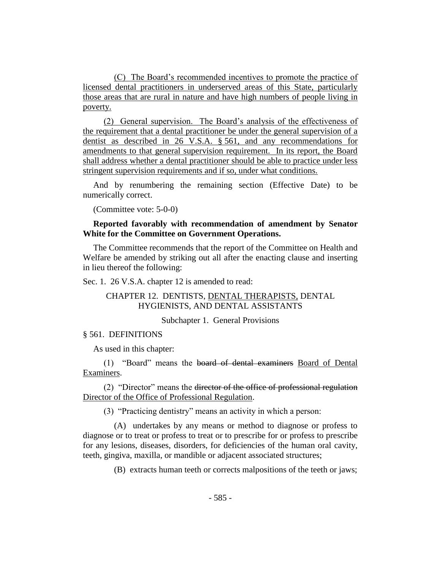(C) The Board's recommended incentives to promote the practice of licensed dental practitioners in underserved areas of this State, particularly those areas that are rural in nature and have high numbers of people living in poverty.

(2) General supervision. The Board's analysis of the effectiveness of the requirement that a dental practitioner be under the general supervision of a dentist as described in 26 V.S.A. § 561, and any recommendations for amendments to that general supervision requirement. In its report, the Board shall address whether a dental practitioner should be able to practice under less stringent supervision requirements and if so, under what conditions.

And by renumbering the remaining section (Effective Date) to be numerically correct.

(Committee vote: 5-0-0)

# **Reported favorably with recommendation of amendment by Senator White for the Committee on Government Operations.**

The Committee recommends that the report of the Committee on Health and Welfare be amended by striking out all after the enacting clause and inserting in lieu thereof the following:

Sec. 1. 26 V.S.A. chapter 12 is amended to read:

# CHAPTER 12. DENTISTS, DENTAL THERAPISTS, DENTAL HYGIENISTS, AND DENTAL ASSISTANTS

#### Subchapter 1. General Provisions

#### § 561. DEFINITIONS

As used in this chapter:

(1) "Board" means the board of dental examiners Board of Dental Examiners.

(2) "Director" means the director of the office of professional regulation Director of the Office of Professional Regulation.

(3) "Practicing dentistry" means an activity in which a person:

(A) undertakes by any means or method to diagnose or profess to diagnose or to treat or profess to treat or to prescribe for or profess to prescribe for any lesions, diseases, disorders, for deficiencies of the human oral cavity, teeth, gingiva, maxilla, or mandible or adjacent associated structures;

(B) extracts human teeth or corrects malpositions of the teeth or jaws;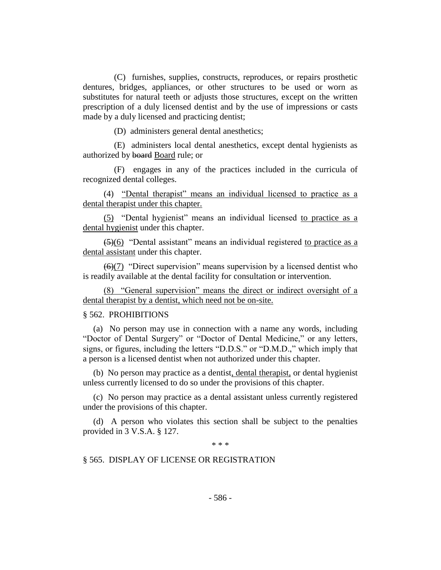(C) furnishes, supplies, constructs, reproduces, or repairs prosthetic dentures, bridges, appliances, or other structures to be used or worn as substitutes for natural teeth or adjusts those structures, except on the written prescription of a duly licensed dentist and by the use of impressions or casts made by a duly licensed and practicing dentist;

(D) administers general dental anesthetics;

(E) administers local dental anesthetics, except dental hygienists as authorized by board Board rule; or

(F) engages in any of the practices included in the curricula of recognized dental colleges.

(4) "Dental therapist" means an individual licensed to practice as a dental therapist under this chapter.

(5) "Dental hygienist" means an individual licensed to practice as a dental hygienist under this chapter.

 $(5)(6)$  "Dental assistant" means an individual registered to practice as a dental assistant under this chapter.

 $(6)(7)$  "Direct supervision" means supervision by a licensed dentist who is readily available at the dental facility for consultation or intervention.

(8) "General supervision" means the direct or indirect oversight of a dental therapist by a dentist, which need not be on-site.

# § 562. PROHIBITIONS

(a) No person may use in connection with a name any words, including "Doctor of Dental Surgery" or "Doctor of Dental Medicine," or any letters, signs, or figures, including the letters "D.D.S." or "D.M.D.," which imply that a person is a licensed dentist when not authorized under this chapter.

(b) No person may practice as a dentist, dental therapist, or dental hygienist unless currently licensed to do so under the provisions of this chapter.

(c) No person may practice as a dental assistant unless currently registered under the provisions of this chapter.

(d) A person who violates this section shall be subject to the penalties provided in 3 V.S.A. § 127.

\* \* \*

# § 565. DISPLAY OF LICENSE OR REGISTRATION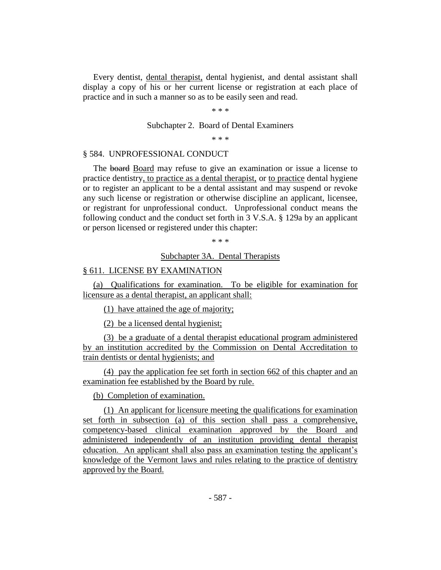Every dentist, dental therapist, dental hygienist, and dental assistant shall display a copy of his or her current license or registration at each place of practice and in such a manner so as to be easily seen and read.

\* \* \*

Subchapter 2. Board of Dental Examiners

\* \* \*

#### § 584. UNPROFESSIONAL CONDUCT

The board Board may refuse to give an examination or issue a license to practice dentistry, to practice as a dental therapist, or to practice dental hygiene or to register an applicant to be a dental assistant and may suspend or revoke any such license or registration or otherwise discipline an applicant, licensee, or registrant for unprofessional conduct. Unprofessional conduct means the following conduct and the conduct set forth in 3 V.S.A. § 129a by an applicant or person licensed or registered under this chapter:

\* \* \*

#### Subchapter 3A. Dental Therapists

## § 611. LICENSE BY EXAMINATION

(a) Qualifications for examination. To be eligible for examination for licensure as a dental therapist, an applicant shall:

(1) have attained the age of majority;

(2) be a licensed dental hygienist;

(3) be a graduate of a dental therapist educational program administered by an institution accredited by the Commission on Dental Accreditation to train dentists or dental hygienists; and

(4) pay the application fee set forth in section 662 of this chapter and an examination fee established by the Board by rule.

(b) Completion of examination.

(1) An applicant for licensure meeting the qualifications for examination set forth in subsection (a) of this section shall pass a comprehensive, competency-based clinical examination approved by the Board and administered independently of an institution providing dental therapist education. An applicant shall also pass an examination testing the applicant's knowledge of the Vermont laws and rules relating to the practice of dentistry approved by the Board.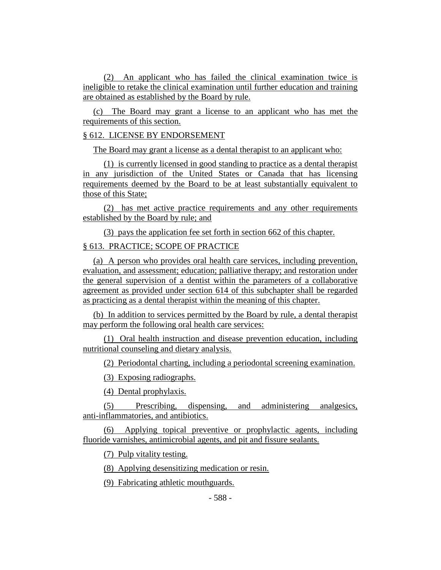(2) An applicant who has failed the clinical examination twice is ineligible to retake the clinical examination until further education and training are obtained as established by the Board by rule.

(c) The Board may grant a license to an applicant who has met the requirements of this section.

## § 612. LICENSE BY ENDORSEMENT

The Board may grant a license as a dental therapist to an applicant who:

(1) is currently licensed in good standing to practice as a dental therapist in any jurisdiction of the United States or Canada that has licensing requirements deemed by the Board to be at least substantially equivalent to those of this State;

(2) has met active practice requirements and any other requirements established by the Board by rule; and

(3) pays the application fee set forth in section 662 of this chapter.

# § 613. PRACTICE; SCOPE OF PRACTICE

(a) A person who provides oral health care services, including prevention, evaluation, and assessment; education; palliative therapy; and restoration under the general supervision of a dentist within the parameters of a collaborative agreement as provided under section 614 of this subchapter shall be regarded as practicing as a dental therapist within the meaning of this chapter.

(b) In addition to services permitted by the Board by rule, a dental therapist may perform the following oral health care services:

(1) Oral health instruction and disease prevention education, including nutritional counseling and dietary analysis.

(2) Periodontal charting, including a periodontal screening examination.

(3) Exposing radiographs.

(4) Dental prophylaxis.

(5) Prescribing, dispensing, and administering analgesics, anti-inflammatories, and antibiotics.

(6) Applying topical preventive or prophylactic agents, including fluoride varnishes, antimicrobial agents, and pit and fissure sealants.

(7) Pulp vitality testing.

(8) Applying desensitizing medication or resin.

(9) Fabricating athletic mouthguards.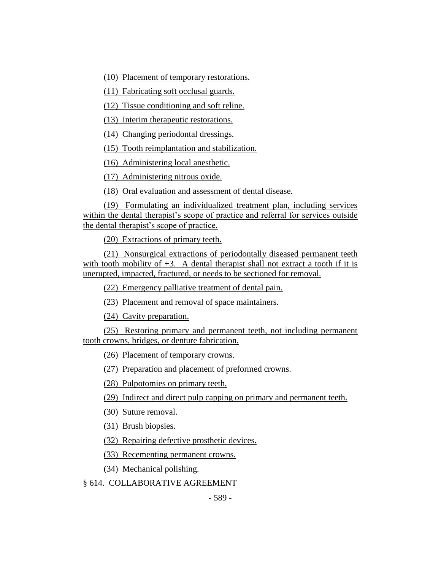(10) Placement of temporary restorations.

(11) Fabricating soft occlusal guards.

(12) Tissue conditioning and soft reline.

(13) Interim therapeutic restorations.

(14) Changing periodontal dressings.

(15) Tooth reimplantation and stabilization.

(16) Administering local anesthetic.

(17) Administering nitrous oxide.

(18) Oral evaluation and assessment of dental disease.

(19) Formulating an individualized treatment plan, including services within the dental therapist's scope of practice and referral for services outside the dental therapist's scope of practice.

(20) Extractions of primary teeth.

(21) Nonsurgical extractions of periodontally diseased permanent teeth with tooth mobility of  $+3$ . A dental therapist shall not extract a tooth if it is unerupted, impacted, fractured, or needs to be sectioned for removal.

(22) Emergency palliative treatment of dental pain.

(23) Placement and removal of space maintainers.

(24) Cavity preparation.

(25) Restoring primary and permanent teeth, not including permanent tooth crowns, bridges, or denture fabrication.

(26) Placement of temporary crowns.

(27) Preparation and placement of preformed crowns.

(28) Pulpotomies on primary teeth.

(29) Indirect and direct pulp capping on primary and permanent teeth.

(30) Suture removal.

(31) Brush biopsies.

(32) Repairing defective prosthetic devices.

(33) Recementing permanent crowns.

(34) Mechanical polishing.

§ 614. COLLABORATIVE AGREEMENT

- 589 -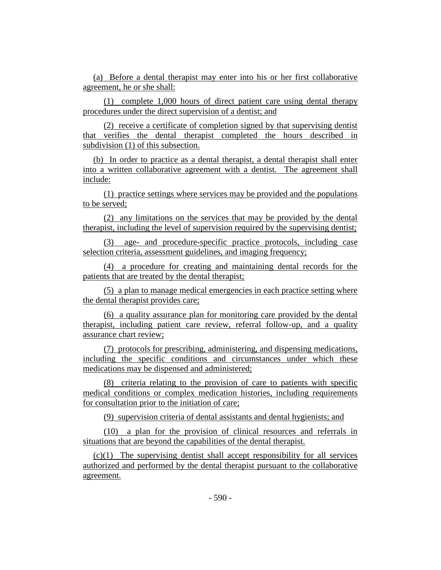(a) Before a dental therapist may enter into his or her first collaborative agreement, he or she shall:

(1) complete 1,000 hours of direct patient care using dental therapy procedures under the direct supervision of a dentist; and

(2) receive a certificate of completion signed by that supervising dentist that verifies the dental therapist completed the hours described in subdivision (1) of this subsection.

(b) In order to practice as a dental therapist, a dental therapist shall enter into a written collaborative agreement with a dentist. The agreement shall include:

(1) practice settings where services may be provided and the populations to be served;

(2) any limitations on the services that may be provided by the dental therapist, including the level of supervision required by the supervising dentist;

(3) age- and procedure-specific practice protocols, including case selection criteria, assessment guidelines, and imaging frequency;

(4) a procedure for creating and maintaining dental records for the patients that are treated by the dental therapist;

(5) a plan to manage medical emergencies in each practice setting where the dental therapist provides care;

(6) a quality assurance plan for monitoring care provided by the dental therapist, including patient care review, referral follow-up, and a quality assurance chart review;

(7) protocols for prescribing, administering, and dispensing medications, including the specific conditions and circumstances under which these medications may be dispensed and administered;

(8) criteria relating to the provision of care to patients with specific medical conditions or complex medication histories, including requirements for consultation prior to the initiation of care;

(9) supervision criteria of dental assistants and dental hygienists; and

(10) a plan for the provision of clinical resources and referrals in situations that are beyond the capabilities of the dental therapist.

(c)(1) The supervising dentist shall accept responsibility for all services authorized and performed by the dental therapist pursuant to the collaborative agreement.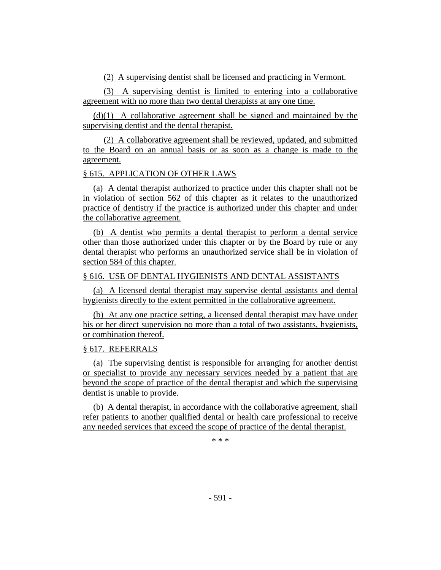(2) A supervising dentist shall be licensed and practicing in Vermont.

(3) A supervising dentist is limited to entering into a collaborative agreement with no more than two dental therapists at any one time.

(d)(1) A collaborative agreement shall be signed and maintained by the supervising dentist and the dental therapist.

(2) A collaborative agreement shall be reviewed, updated, and submitted to the Board on an annual basis or as soon as a change is made to the agreement.

# § 615. APPLICATION OF OTHER LAWS

(a) A dental therapist authorized to practice under this chapter shall not be in violation of section 562 of this chapter as it relates to the unauthorized practice of dentistry if the practice is authorized under this chapter and under the collaborative agreement.

(b) A dentist who permits a dental therapist to perform a dental service other than those authorized under this chapter or by the Board by rule or any dental therapist who performs an unauthorized service shall be in violation of section 584 of this chapter.

# § 616. USE OF DENTAL HYGIENISTS AND DENTAL ASSISTANTS

(a) A licensed dental therapist may supervise dental assistants and dental hygienists directly to the extent permitted in the collaborative agreement.

(b) At any one practice setting, a licensed dental therapist may have under his or her direct supervision no more than a total of two assistants, hygienists, or combination thereof.

# § 617. REFERRALS

(a) The supervising dentist is responsible for arranging for another dentist or specialist to provide any necessary services needed by a patient that are beyond the scope of practice of the dental therapist and which the supervising dentist is unable to provide.

(b) A dental therapist, in accordance with the collaborative agreement, shall refer patients to another qualified dental or health care professional to receive any needed services that exceed the scope of practice of the dental therapist.

\* \* \*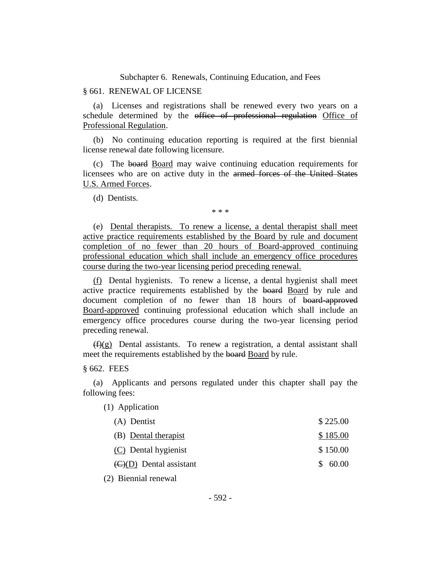Subchapter 6. Renewals, Continuing Education, and Fees

## § 661. RENEWAL OF LICENSE

(a) Licenses and registrations shall be renewed every two years on a schedule determined by the office of professional regulation Office of Professional Regulation.

(b) No continuing education reporting is required at the first biennial license renewal date following licensure.

(c) The board Board may waive continuing education requirements for licensees who are on active duty in the armed forces of the United States U.S. Armed Forces.

(d) Dentists.

\* \* \*

(e) Dental therapists. To renew a license, a dental therapist shall meet active practice requirements established by the Board by rule and document completion of no fewer than 20 hours of Board-approved continuing professional education which shall include an emergency office procedures course during the two-year licensing period preceding renewal.

(f) Dental hygienists. To renew a license, a dental hygienist shall meet active practice requirements established by the board Board by rule and document completion of no fewer than 18 hours of board-approved Board-approved continuing professional education which shall include an emergency office procedures course during the two-year licensing period preceding renewal.

 $(f)(g)$  Dental assistants. To renew a registration, a dental assistant shall meet the requirements established by the board Board by rule.

§ 662. FEES

(a) Applicants and persons regulated under this chapter shall pay the following fees:

(1) Application

| (A) Dentist                                 | \$225.00 |
|---------------------------------------------|----------|
| (B) Dental therapist                        | \$185.00 |
| (C) Dental hygienist                        | \$150.00 |
| $\left(\frac{C}{D}\right)$ Dental assistant | \$60.00  |
|                                             |          |

(2) Biennial renewal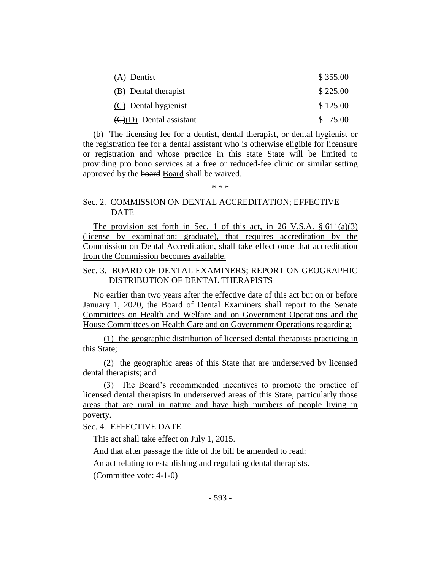| (A) Dentist                              | \$355.00 |
|------------------------------------------|----------|
| (B) Dental therapist                     | \$225.00 |
| (C) Dental hygienist                     | \$125.00 |
| $\langle C \rangle$ (D) Dental assistant | \$75.00  |

(b) The licensing fee for a dentist, dental therapist, or dental hygienist or the registration fee for a dental assistant who is otherwise eligible for licensure or registration and whose practice in this state State will be limited to providing pro bono services at a free or reduced-fee clinic or similar setting approved by the board Board shall be waived.

\* \* \*

# Sec. 2. COMMISSION ON DENTAL ACCREDITATION; EFFECTIVE **DATE**

The provision set forth in Sec. 1 of this act, in 26 V.S.A.  $\S 611(a)(3)$ (license by examination; graduate), that requires accreditation by the Commission on Dental Accreditation, shall take effect once that accreditation from the Commission becomes available.

# Sec. 3. BOARD OF DENTAL EXAMINERS; REPORT ON GEOGRAPHIC DISTRIBUTION OF DENTAL THERAPISTS

No earlier than two years after the effective date of this act but on or before January 1, 2020, the Board of Dental Examiners shall report to the Senate Committees on Health and Welfare and on Government Operations and the House Committees on Health Care and on Government Operations regarding:

(1) the geographic distribution of licensed dental therapists practicing in this State;

(2) the geographic areas of this State that are underserved by licensed dental therapists; and

(3) The Board's recommended incentives to promote the practice of licensed dental therapists in underserved areas of this State, particularly those areas that are rural in nature and have high numbers of people living in poverty.

Sec. 4. EFFECTIVE DATE

This act shall take effect on July 1, 2015.

And that after passage the title of the bill be amended to read:

An act relating to establishing and regulating dental therapists.

(Committee vote: 4-1-0)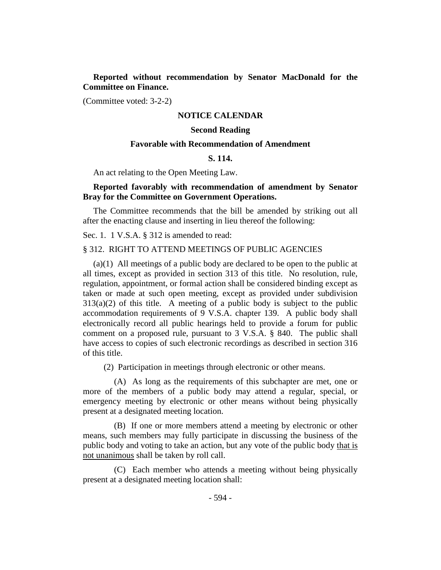**Reported without recommendation by Senator MacDonald for the Committee on Finance.**

(Committee voted: 3-2-2)

## **NOTICE CALENDAR**

## **Second Reading**

### **Favorable with Recommendation of Amendment**

# **S. 114.**

An act relating to the Open Meeting Law.

# **Reported favorably with recommendation of amendment by Senator Bray for the Committee on Government Operations.**

The Committee recommends that the bill be amended by striking out all after the enacting clause and inserting in lieu thereof the following:

Sec. 1. 1 V.S.A. § 312 is amended to read:

#### § 312. RIGHT TO ATTEND MEETINGS OF PUBLIC AGENCIES

(a)(1) All meetings of a public body are declared to be open to the public at all times, except as provided in section 313 of this title. No resolution, rule, regulation, appointment, or formal action shall be considered binding except as taken or made at such open meeting, except as provided under subdivision  $313(a)(2)$  of this title. A meeting of a public body is subject to the public accommodation requirements of 9 V.S.A. chapter 139. A public body shall electronically record all public hearings held to provide a forum for public comment on a proposed rule, pursuant to 3 V.S.A. § 840. The public shall have access to copies of such electronic recordings as described in section 316 of this title.

(2) Participation in meetings through electronic or other means.

(A) As long as the requirements of this subchapter are met, one or more of the members of a public body may attend a regular, special, or emergency meeting by electronic or other means without being physically present at a designated meeting location.

(B) If one or more members attend a meeting by electronic or other means, such members may fully participate in discussing the business of the public body and voting to take an action, but any vote of the public body that is not unanimous shall be taken by roll call.

(C) Each member who attends a meeting without being physically present at a designated meeting location shall: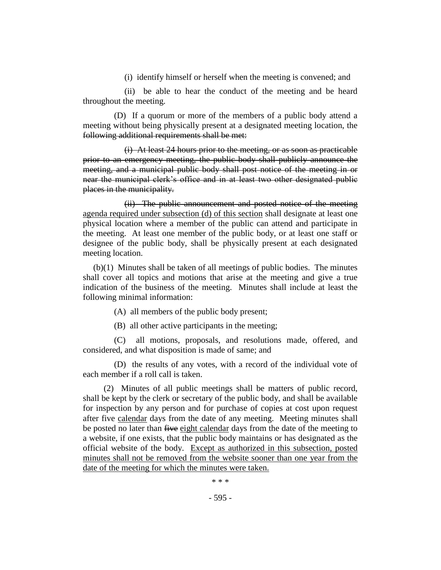(i) identify himself or herself when the meeting is convened; and

(ii) be able to hear the conduct of the meeting and be heard throughout the meeting.

(D) If a quorum or more of the members of a public body attend a meeting without being physically present at a designated meeting location, the following additional requirements shall be met:

(i) At least 24 hours prior to the meeting, or as soon as practicable prior to an emergency meeting, the public body shall publicly announce the meeting, and a municipal public body shall post notice of the meeting in or near the municipal clerk's office and in at least two other designated public places in the municipality.

(ii) The public announcement and posted notice of the meeting agenda required under subsection (d) of this section shall designate at least one physical location where a member of the public can attend and participate in the meeting. At least one member of the public body, or at least one staff or designee of the public body, shall be physically present at each designated meeting location.

(b)(1) Minutes shall be taken of all meetings of public bodies. The minutes shall cover all topics and motions that arise at the meeting and give a true indication of the business of the meeting. Minutes shall include at least the following minimal information:

(A) all members of the public body present;

(B) all other active participants in the meeting;

(C) all motions, proposals, and resolutions made, offered, and considered, and what disposition is made of same; and

(D) the results of any votes, with a record of the individual vote of each member if a roll call is taken.

(2) Minutes of all public meetings shall be matters of public record, shall be kept by the clerk or secretary of the public body, and shall be available for inspection by any person and for purchase of copies at cost upon request after five calendar days from the date of any meeting. Meeting minutes shall be posted no later than five eight calendar days from the date of the meeting to a website, if one exists, that the public body maintains or has designated as the official website of the body. Except as authorized in this subsection, posted minutes shall not be removed from the website sooner than one year from the date of the meeting for which the minutes were taken.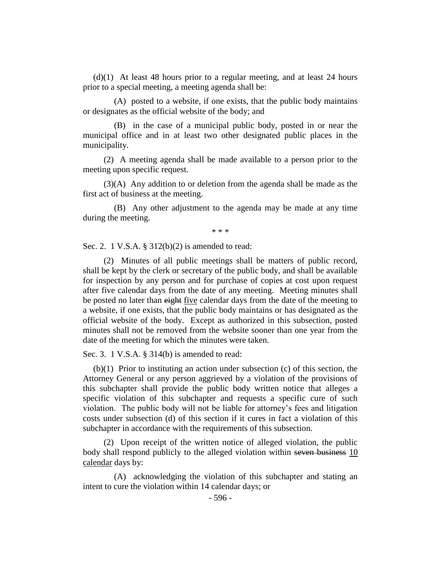(d)(1) At least 48 hours prior to a regular meeting, and at least 24 hours prior to a special meeting, a meeting agenda shall be:

(A) posted to a website, if one exists, that the public body maintains or designates as the official website of the body; and

(B) in the case of a municipal public body, posted in or near the municipal office and in at least two other designated public places in the municipality.

(2) A meeting agenda shall be made available to a person prior to the meeting upon specific request.

(3)(A) Any addition to or deletion from the agenda shall be made as the first act of business at the meeting.

(B) Any other adjustment to the agenda may be made at any time during the meeting.

\* \* \*

Sec. 2. 1 V.S.A. § 312(b)(2) is amended to read:

(2) Minutes of all public meetings shall be matters of public record, shall be kept by the clerk or secretary of the public body, and shall be available for inspection by any person and for purchase of copies at cost upon request after five calendar days from the date of any meeting. Meeting minutes shall be posted no later than eight five calendar days from the date of the meeting to a website, if one exists, that the public body maintains or has designated as the official website of the body. Except as authorized in this subsection, posted minutes shall not be removed from the website sooner than one year from the date of the meeting for which the minutes were taken.

Sec. 3. 1 V.S.A. § 314(b) is amended to read:

(b)(1) Prior to instituting an action under subsection (c) of this section, the Attorney General or any person aggrieved by a violation of the provisions of this subchapter shall provide the public body written notice that alleges a specific violation of this subchapter and requests a specific cure of such violation. The public body will not be liable for attorney's fees and litigation costs under subsection (d) of this section if it cures in fact a violation of this subchapter in accordance with the requirements of this subsection.

(2) Upon receipt of the written notice of alleged violation, the public body shall respond publicly to the alleged violation within seven business 10 calendar days by:

(A) acknowledging the violation of this subchapter and stating an intent to cure the violation within 14 calendar days; or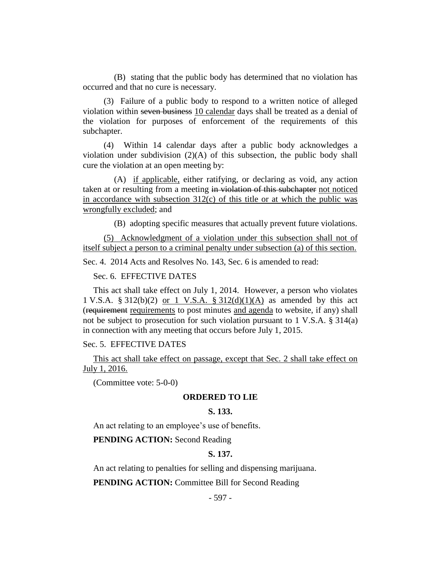(B) stating that the public body has determined that no violation has occurred and that no cure is necessary.

(3) Failure of a public body to respond to a written notice of alleged violation within seven business 10 calendar days shall be treated as a denial of the violation for purposes of enforcement of the requirements of this subchapter.

(4) Within 14 calendar days after a public body acknowledges a violation under subdivision  $(2)(A)$  of this subsection, the public body shall cure the violation at an open meeting by:

(A) if applicable, either ratifying, or declaring as void, any action taken at or resulting from a meeting in violation of this subchapter not noticed in accordance with subsection  $312(c)$  of this title or at which the public was wrongfully excluded; and

(B) adopting specific measures that actually prevent future violations.

(5) Acknowledgment of a violation under this subsection shall not of itself subject a person to a criminal penalty under subsection (a) of this section.

Sec. 4. 2014 Acts and Resolves No. 143, Sec. 6 is amended to read:

#### Sec. 6. EFFECTIVE DATES

This act shall take effect on July 1, 2014. However, a person who violates 1 V.S.A. § 312(b)(2) or 1 V.S.A. § 312(d)(1)(A) as amended by this act (requirement requirements to post minutes and agenda to website, if any) shall not be subject to prosecution for such violation pursuant to 1 V.S.A. § 314(a) in connection with any meeting that occurs before July 1, 2015.

Sec. 5. EFFECTIVE DATES

This act shall take effect on passage, except that Sec. 2 shall take effect on July 1, 2016.

(Committee vote: 5-0-0)

#### **ORDERED TO LIE**

# **S. 133.**

An act relating to an employee's use of benefits.

**PENDING ACTION:** Second Reading

## **S. 137.**

An act relating to penalties for selling and dispensing marijuana.

**PENDING ACTION:** Committee Bill for Second Reading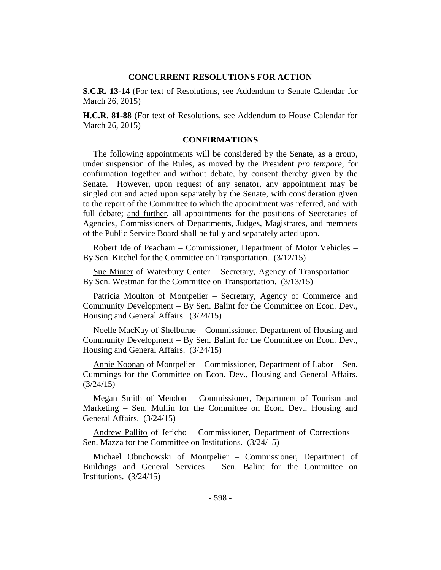#### **CONCURRENT RESOLUTIONS FOR ACTION**

**S.C.R. 13-14** (For text of Resolutions, see Addendum to Senate Calendar for March 26, 2015)

**H.C.R. 81-88** (For text of Resolutions, see Addendum to House Calendar for March 26, 2015)

#### **CONFIRMATIONS**

The following appointments will be considered by the Senate, as a group, under suspension of the Rules, as moved by the President *pro tempore,* for confirmation together and without debate, by consent thereby given by the Senate. However, upon request of any senator, any appointment may be singled out and acted upon separately by the Senate, with consideration given to the report of the Committee to which the appointment was referred, and with full debate; and further, all appointments for the positions of Secretaries of Agencies, Commissioners of Departments, Judges, Magistrates, and members of the Public Service Board shall be fully and separately acted upon.

Robert Ide of Peacham – Commissioner, Department of Motor Vehicles – By Sen. Kitchel for the Committee on Transportation. (3/12/15)

Sue Minter of Waterbury Center – Secretary, Agency of Transportation – By Sen. Westman for the Committee on Transportation. (3/13/15)

Patricia Moulton of Montpelier - Secretary, Agency of Commerce and Community Development – By Sen. Balint for the Committee on Econ. Dev., Housing and General Affairs. (3/24/15)

Noelle MacKay of Shelburne – Commissioner, Department of Housing and Community Development – By Sen. Balint for the Committee on Econ. Dev., Housing and General Affairs. (3/24/15)

Annie Noonan of Montpelier – Commissioner, Department of Labor – Sen. Cummings for the Committee on Econ. Dev., Housing and General Affairs. (3/24/15)

Megan Smith of Mendon – Commissioner, Department of Tourism and Marketing – Sen. Mullin for the Committee on Econ. Dev., Housing and General Affairs. (3/24/15)

Andrew Pallito of Jericho – Commissioner, Department of Corrections – Sen. Mazza for the Committee on Institutions. (3/24/15)

Michael Obuchowski of Montpelier – Commissioner, Department of Buildings and General Services – Sen. Balint for the Committee on Institutions. (3/24/15)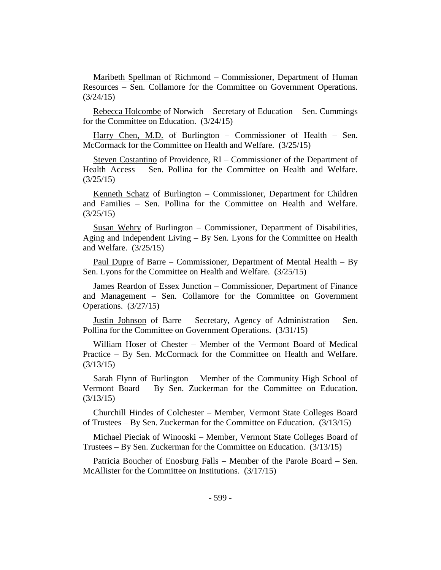Maribeth Spellman of Richmond – Commissioner, Department of Human Resources – Sen. Collamore for the Committee on Government Operations.  $(3/24/15)$ 

Rebecca Holcombe of Norwich – Secretary of Education – Sen. Cummings for the Committee on Education. (3/24/15)

Harry Chen, M.D. of Burlington – Commissioner of Health – Sen. McCormack for the Committee on Health and Welfare. (3/25/15)

Steven Costantino of Providence, RI – Commissioner of the Department of Health Access – Sen. Pollina for the Committee on Health and Welfare. (3/25/15)

Kenneth Schatz of Burlington – Commissioner, Department for Children and Families – Sen. Pollina for the Committee on Health and Welfare. (3/25/15)

Susan Wehry of Burlington – Commissioner, Department of Disabilities, Aging and Independent Living – By Sen. Lyons for the Committee on Health and Welfare. (3/25/15)

Paul Dupre of Barre – Commissioner, Department of Mental Health – By Sen. Lyons for the Committee on Health and Welfare. (3/25/15)

James Reardon of Essex Junction – Commissioner, Department of Finance and Management – Sen. Collamore for the Committee on Government Operations. (3/27/15)

Justin Johnson of Barre – Secretary, Agency of Administration – Sen. Pollina for the Committee on Government Operations. (3/31/15)

William Hoser of Chester – Member of the Vermont Board of Medical Practice – By Sen. McCormack for the Committee on Health and Welfare. (3/13/15)

Sarah Flynn of Burlington – Member of the Community High School of Vermont Board – By Sen. Zuckerman for the Committee on Education. (3/13/15)

Churchill Hindes of Colchester – Member, Vermont State Colleges Board of Trustees – By Sen. Zuckerman for the Committee on Education. (3/13/15)

Michael Pieciak of Winooski – Member, Vermont State Colleges Board of Trustees – By Sen. Zuckerman for the Committee on Education. (3/13/15)

Patricia Boucher of Enosburg Falls – Member of the Parole Board – Sen. McAllister for the Committee on Institutions. (3/17/15)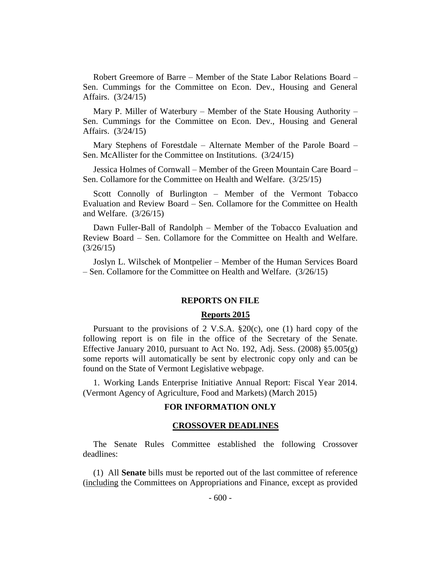Robert Greemore of Barre – Member of the State Labor Relations Board – Sen. Cummings for the Committee on Econ. Dev., Housing and General Affairs. (3/24/15)

Mary P. Miller of Waterbury – Member of the State Housing Authority – Sen. Cummings for the Committee on Econ. Dev., Housing and General Affairs. (3/24/15)

Mary Stephens of Forestdale – Alternate Member of the Parole Board – Sen. McAllister for the Committee on Institutions. (3/24/15)

Jessica Holmes of Cornwall – Member of the Green Mountain Care Board – Sen. Collamore for the Committee on Health and Welfare. (3/25/15)

Scott Connolly of Burlington – Member of the Vermont Tobacco Evaluation and Review Board – Sen. Collamore for the Committee on Health and Welfare. (3/26/15)

Dawn Fuller-Ball of Randolph – Member of the Tobacco Evaluation and Review Board – Sen. Collamore for the Committee on Health and Welfare. (3/26/15)

Joslyn L. Wilschek of Montpelier – Member of the Human Services Board – Sen. Collamore for the Committee on Health and Welfare. (3/26/15)

#### **REPORTS ON FILE**

#### **Reports 2015**

Pursuant to the provisions of 2 V.S.A. §20(c), one (1) hard copy of the following report is on file in the office of the Secretary of the Senate. Effective January 2010, pursuant to Act No. 192, Adj. Sess.  $(2008)$  §5.005 $(g)$ some reports will automatically be sent by electronic copy only and can be found on the State of Vermont Legislative webpage.

1. Working Lands Enterprise Initiative Annual Report: Fiscal Year 2014. (Vermont Agency of Agriculture, Food and Markets) (March 2015)

## **FOR INFORMATION ONLY**

#### **CROSSOVER DEADLINES**

The Senate Rules Committee established the following Crossover deadlines:

(1) All **Senate** bills must be reported out of the last committee of reference (including the Committees on Appropriations and Finance, except as provided